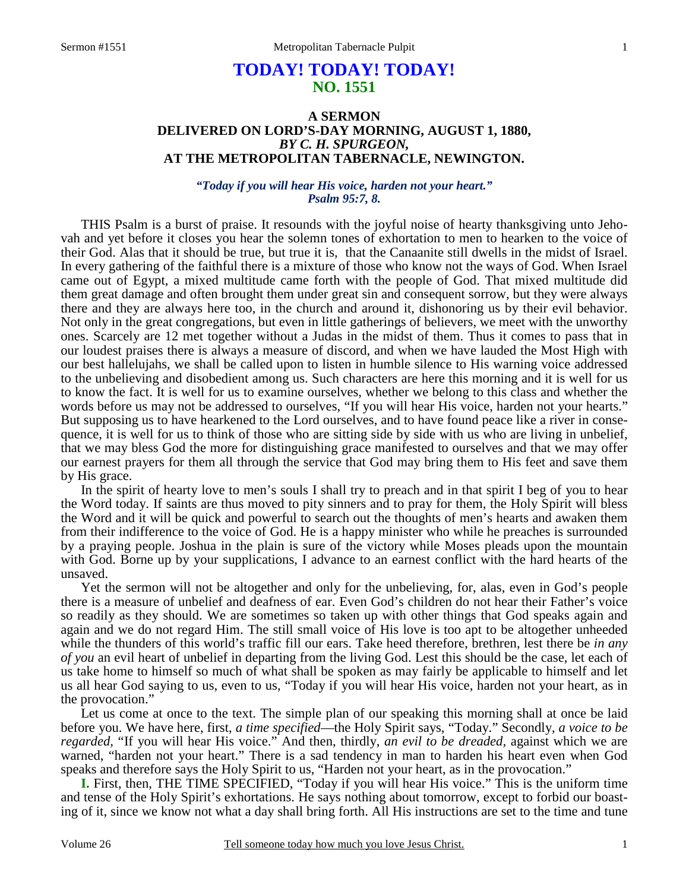# **TODAY! TODAY! TODAY! NO. 1551**

## **A SERMON DELIVERED ON LORD'S-DAY MORNING, AUGUST 1, 1880,**  *BY C. H. SPURGEON,*  **AT THE METROPOLITAN TABERNACLE, NEWINGTON.**

*"Today if you will hear His voice, harden not your heart." Psalm 95:7, 8.* 

THIS Psalm is a burst of praise. It resounds with the joyful noise of hearty thanksgiving unto Jehovah and yet before it closes you hear the solemn tones of exhortation to men to hearken to the voice of their God. Alas that it should be true, but true it is, that the Canaanite still dwells in the midst of Israel. In every gathering of the faithful there is a mixture of those who know not the ways of God. When Israel came out of Egypt, a mixed multitude came forth with the people of God. That mixed multitude did them great damage and often brought them under great sin and consequent sorrow, but they were always there and they are always here too, in the church and around it, dishonoring us by their evil behavior. Not only in the great congregations, but even in little gatherings of believers, we meet with the unworthy ones. Scarcely are 12 met together without a Judas in the midst of them. Thus it comes to pass that in our loudest praises there is always a measure of discord, and when we have lauded the Most High with our best hallelujahs, we shall be called upon to listen in humble silence to His warning voice addressed to the unbelieving and disobedient among us. Such characters are here this morning and it is well for us to know the fact. It is well for us to examine ourselves, whether we belong to this class and whether the words before us may not be addressed to ourselves, "If you will hear His voice, harden not your hearts." But supposing us to have hearkened to the Lord ourselves, and to have found peace like a river in consequence, it is well for us to think of those who are sitting side by side with us who are living in unbelief, that we may bless God the more for distinguishing grace manifested to ourselves and that we may offer our earnest prayers for them all through the service that God may bring them to His feet and save them by His grace.

 In the spirit of hearty love to men's souls I shall try to preach and in that spirit I beg of you to hear the Word today. If saints are thus moved to pity sinners and to pray for them, the Holy Spirit will bless the Word and it will be quick and powerful to search out the thoughts of men's hearts and awaken them from their indifference to the voice of God. He is a happy minister who while he preaches is surrounded by a praying people. Joshua in the plain is sure of the victory while Moses pleads upon the mountain with God. Borne up by your supplications, I advance to an earnest conflict with the hard hearts of the unsaved.

 Yet the sermon will not be altogether and only for the unbelieving, for, alas, even in God's people there is a measure of unbelief and deafness of ear. Even God's children do not hear their Father's voice so readily as they should. We are sometimes so taken up with other things that God speaks again and again and we do not regard Him. The still small voice of His love is too apt to be altogether unheeded while the thunders of this world's traffic fill our ears. Take heed therefore, brethren, lest there be *in any of you* an evil heart of unbelief in departing from the living God. Lest this should be the case, let each of us take home to himself so much of what shall be spoken as may fairly be applicable to himself and let us all hear God saying to us, even to us, "Today if you will hear His voice, harden not your heart, as in the provocation."

 Let us come at once to the text. The simple plan of our speaking this morning shall at once be laid before you. We have here, first, *a time specified*—the Holy Spirit says, "Today." Secondly, *a voice to be regarded,* "If you will hear His voice." And then, thirdly, *an evil to be dreaded,* against which we are warned, "harden not your heart." There is a sad tendency in man to harden his heart even when God speaks and therefore says the Holy Spirit to us, "Harden not your heart, as in the provocation."

**I.** First, then, THE TIME SPECIFIED, "Today if you will hear His voice." This is the uniform time and tense of the Holy Spirit's exhortations. He says nothing about tomorrow, except to forbid our boasting of it, since we know not what a day shall bring forth. All His instructions are set to the time and tune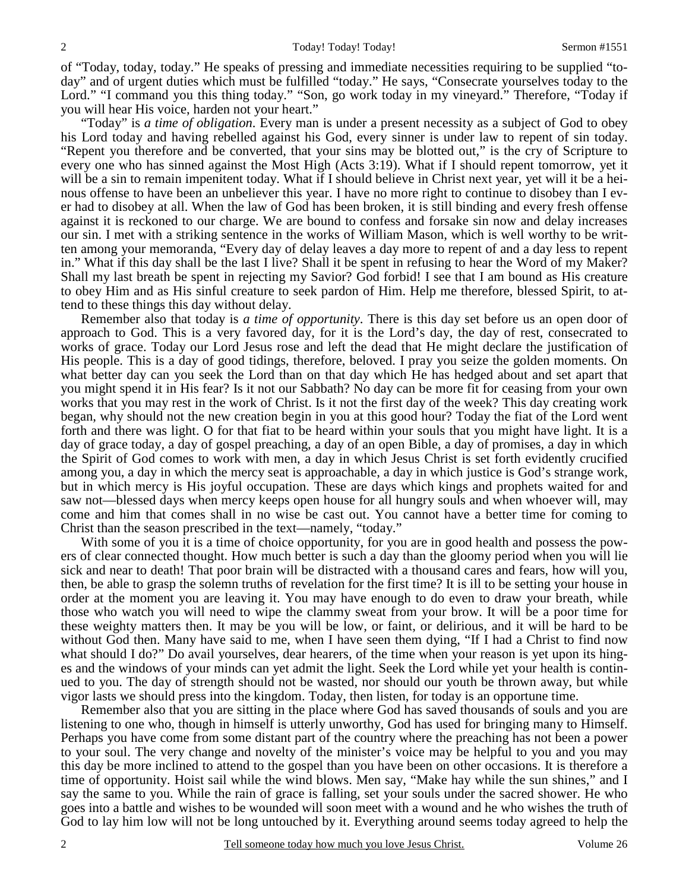of "Today, today, today." He speaks of pressing and immediate necessities requiring to be supplied "today" and of urgent duties which must be fulfilled "today." He says, "Consecrate yourselves today to the Lord." "I command you this thing today." "Son, go work today in my vineyard." Therefore, "Today if you will hear His voice, harden not your heart."

 "Today" is *a time of obligation*. Every man is under a present necessity as a subject of God to obey his Lord today and having rebelled against his God, every sinner is under law to repent of sin today. "Repent you therefore and be converted, that your sins may be blotted out," is the cry of Scripture to every one who has sinned against the Most High (Acts 3:19). What if I should repent tomorrow, yet it will be a sin to remain impenitent today. What if I should believe in Christ next year, yet will it be a heinous offense to have been an unbeliever this year. I have no more right to continue to disobey than I ever had to disobey at all. When the law of God has been broken, it is still binding and every fresh offense against it is reckoned to our charge. We are bound to confess and forsake sin now and delay increases our sin. I met with a striking sentence in the works of William Mason, which is well worthy to be written among your memoranda, "Every day of delay leaves a day more to repent of and a day less to repent in." What if this day shall be the last I live? Shall it be spent in refusing to hear the Word of my Maker? Shall my last breath be spent in rejecting my Savior? God forbid! I see that I am bound as His creature to obey Him and as His sinful creature to seek pardon of Him. Help me therefore, blessed Spirit, to attend to these things this day without delay.

 Remember also that today is *a time of opportunity*. There is this day set before us an open door of approach to God. This is a very favored day, for it is the Lord's day, the day of rest, consecrated to works of grace. Today our Lord Jesus rose and left the dead that He might declare the justification of His people. This is a day of good tidings, therefore, beloved. I pray you seize the golden moments. On what better day can you seek the Lord than on that day which He has hedged about and set apart that you might spend it in His fear? Is it not our Sabbath? No day can be more fit for ceasing from your own works that you may rest in the work of Christ. Is it not the first day of the week? This day creating work began, why should not the new creation begin in you at this good hour? Today the fiat of the Lord went forth and there was light. O for that fiat to be heard within your souls that you might have light. It is a day of grace today, a day of gospel preaching, a day of an open Bible, a day of promises, a day in which the Spirit of God comes to work with men, a day in which Jesus Christ is set forth evidently crucified among you, a day in which the mercy seat is approachable, a day in which justice is God's strange work, but in which mercy is His joyful occupation. These are days which kings and prophets waited for and saw not—blessed days when mercy keeps open house for all hungry souls and when whoever will, may come and him that comes shall in no wise be cast out. You cannot have a better time for coming to Christ than the season prescribed in the text—namely, "today."

With some of you it is a time of choice opportunity, for you are in good health and possess the powers of clear connected thought. How much better is such a day than the gloomy period when you will lie sick and near to death! That poor brain will be distracted with a thousand cares and fears, how will you, then, be able to grasp the solemn truths of revelation for the first time? It is ill to be setting your house in order at the moment you are leaving it. You may have enough to do even to draw your breath, while those who watch you will need to wipe the clammy sweat from your brow. It will be a poor time for these weighty matters then. It may be you will be low, or faint, or delirious, and it will be hard to be without God then. Many have said to me, when I have seen them dying, "If I had a Christ to find now what should I do?" Do avail yourselves, dear hearers, of the time when your reason is yet upon its hinges and the windows of your minds can yet admit the light. Seek the Lord while yet your health is continued to you. The day of strength should not be wasted, nor should our youth be thrown away, but while vigor lasts we should press into the kingdom. Today, then listen, for today is an opportune time.

 Remember also that you are sitting in the place where God has saved thousands of souls and you are listening to one who, though in himself is utterly unworthy, God has used for bringing many to Himself. Perhaps you have come from some distant part of the country where the preaching has not been a power to your soul. The very change and novelty of the minister's voice may be helpful to you and you may this day be more inclined to attend to the gospel than you have been on other occasions. It is therefore a time of opportunity. Hoist sail while the wind blows. Men say, "Make hay while the sun shines," and I say the same to you. While the rain of grace is falling, set your souls under the sacred shower. He who goes into a battle and wishes to be wounded will soon meet with a wound and he who wishes the truth of God to lay him low will not be long untouched by it. Everything around seems today agreed to help the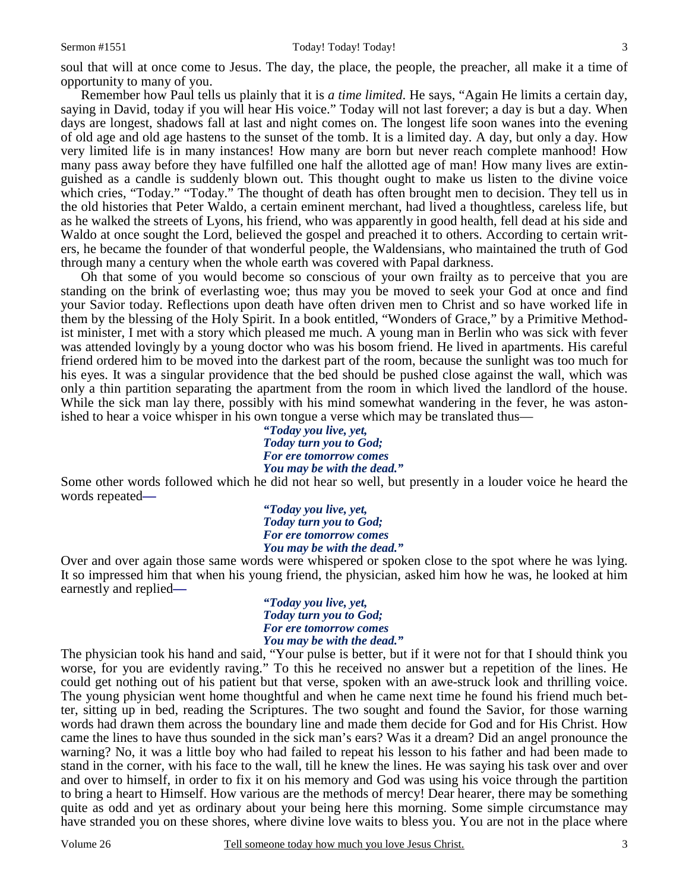soul that will at once come to Jesus. The day, the place, the people, the preacher, all make it a time of opportunity to many of you.

 Remember how Paul tells us plainly that it is *a time limited*. He says, "Again He limits a certain day, saying in David, today if you will hear His voice." Today will not last forever; a day is but a day. When days are longest, shadows fall at last and night comes on. The longest life soon wanes into the evening of old age and old age hastens to the sunset of the tomb. It is a limited day. A day, but only a day. How very limited life is in many instances! How many are born but never reach complete manhood! How many pass away before they have fulfilled one half the allotted age of man! How many lives are extinguished as a candle is suddenly blown out. This thought ought to make us listen to the divine voice which cries, "Today." "Today." The thought of death has often brought men to decision. They tell us in the old histories that Peter Waldo, a certain eminent merchant, had lived a thoughtless, careless life, but as he walked the streets of Lyons, his friend, who was apparently in good health, fell dead at his side and Waldo at once sought the Lord, believed the gospel and preached it to others. According to certain writers, he became the founder of that wonderful people, the Waldensians, who maintained the truth of God through many a century when the whole earth was covered with Papal darkness.

 Oh that some of you would become so conscious of your own frailty as to perceive that you are standing on the brink of everlasting woe; thus may you be moved to seek your God at once and find your Savior today. Reflections upon death have often driven men to Christ and so have worked life in them by the blessing of the Holy Spirit. In a book entitled, "Wonders of Grace," by a Primitive Methodist minister, I met with a story which pleased me much. A young man in Berlin who was sick with fever was attended lovingly by a young doctor who was his bosom friend. He lived in apartments. His careful friend ordered him to be moved into the darkest part of the room, because the sunlight was too much for his eyes. It was a singular providence that the bed should be pushed close against the wall, which was only a thin partition separating the apartment from the room in which lived the landlord of the house. While the sick man lay there, possibly with his mind somewhat wandering in the fever, he was astonished to hear a voice whisper in his own tongue a verse which may be translated thus—

*"Today you live, yet, Today turn you to God; For ere tomorrow comes You may be with the dead."* 

Some other words followed which he did not hear so well, but presently in a louder voice he heard the words repeated**—** 

*"Today you live, yet, Today turn you to God; For ere tomorrow comes You may be with the dead."* 

Over and over again those same words were whispered or spoken close to the spot where he was lying. It so impressed him that when his young friend, the physician, asked him how he was, he looked at him earnestly and replied**—** 

*"Today you live, yet, Today turn you to God; For ere tomorrow comes You may be with the dead."* 

The physician took his hand and said, "Your pulse is better, but if it were not for that I should think you worse, for you are evidently raving." To this he received no answer but a repetition of the lines. He could get nothing out of his patient but that verse, spoken with an awe-struck look and thrilling voice. The young physician went home thoughtful and when he came next time he found his friend much better, sitting up in bed, reading the Scriptures. The two sought and found the Savior, for those warning words had drawn them across the boundary line and made them decide for God and for His Christ. How came the lines to have thus sounded in the sick man's ears? Was it a dream? Did an angel pronounce the warning? No, it was a little boy who had failed to repeat his lesson to his father and had been made to stand in the corner, with his face to the wall, till he knew the lines. He was saying his task over and over and over to himself, in order to fix it on his memory and God was using his voice through the partition to bring a heart to Himself. How various are the methods of mercy! Dear hearer, there may be something quite as odd and yet as ordinary about your being here this morning. Some simple circumstance may have stranded you on these shores, where divine love waits to bless you. You are not in the place where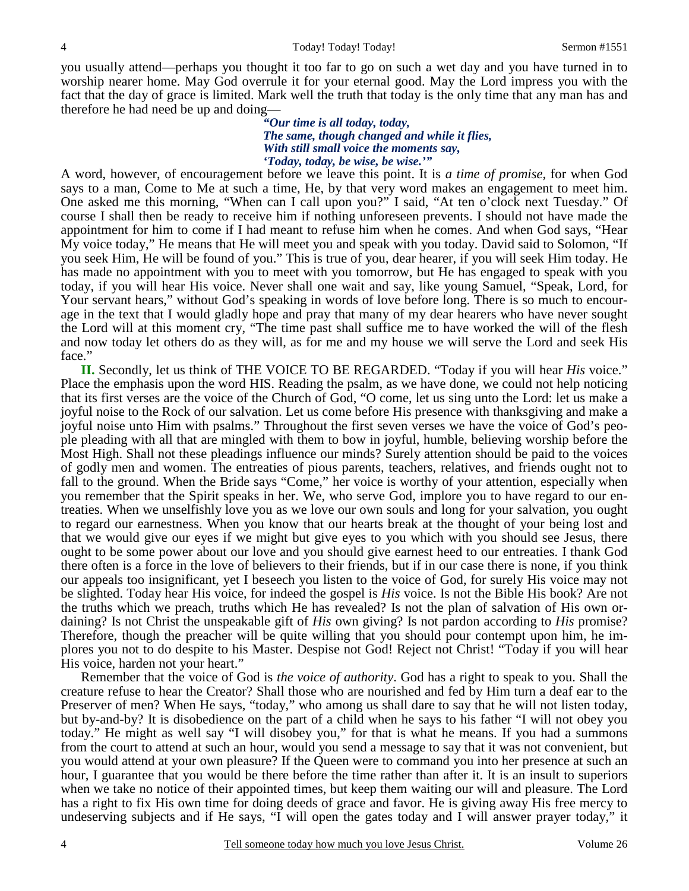you usually attend—perhaps you thought it too far to go on such a wet day and you have turned in to worship nearer home. May God overrule it for your eternal good. May the Lord impress you with the fact that the day of grace is limited. Mark well the truth that today is the only time that any man has and therefore he had need be up and doing—

> *"Our time is all today, today, The same, though changed and while it flies, With still small voice the moments say, 'Today, today, be wise, be wise.'"*

A word, however, of encouragement before we leave this point. It is *a time of promise,* for when God says to a man, Come to Me at such a time, He, by that very word makes an engagement to meet him. One asked me this morning, "When can I call upon you?" I said, "At ten o'clock next Tuesday." Of course I shall then be ready to receive him if nothing unforeseen prevents. I should not have made the appointment for him to come if I had meant to refuse him when he comes. And when God says, "Hear My voice today," He means that He will meet you and speak with you today. David said to Solomon, "If you seek Him, He will be found of you." This is true of you, dear hearer, if you will seek Him today. He has made no appointment with you to meet with you tomorrow, but He has engaged to speak with you today, if you will hear His voice. Never shall one wait and say, like young Samuel, "Speak, Lord, for Your servant hears," without God's speaking in words of love before long. There is so much to encourage in the text that I would gladly hope and pray that many of my dear hearers who have never sought the Lord will at this moment cry, "The time past shall suffice me to have worked the will of the flesh and now today let others do as they will, as for me and my house we will serve the Lord and seek His face."

**II.** Secondly, let us think of THE VOICE TO BE REGARDED. "Today if you will hear *His* voice." Place the emphasis upon the word HIS. Reading the psalm, as we have done, we could not help noticing that its first verses are the voice of the Church of God, "O come, let us sing unto the Lord: let us make a joyful noise to the Rock of our salvation. Let us come before His presence with thanksgiving and make a joyful noise unto Him with psalms." Throughout the first seven verses we have the voice of God's people pleading with all that are mingled with them to bow in joyful, humble, believing worship before the Most High. Shall not these pleadings influence our minds? Surely attention should be paid to the voices of godly men and women. The entreaties of pious parents, teachers, relatives, and friends ought not to fall to the ground. When the Bride says "Come," her voice is worthy of your attention, especially when you remember that the Spirit speaks in her. We, who serve God, implore you to have regard to our entreaties. When we unselfishly love you as we love our own souls and long for your salvation, you ought to regard our earnestness. When you know that our hearts break at the thought of your being lost and that we would give our eyes if we might but give eyes to you which with you should see Jesus, there ought to be some power about our love and you should give earnest heed to our entreaties. I thank God there often is a force in the love of believers to their friends, but if in our case there is none, if you think our appeals too insignificant, yet I beseech you listen to the voice of God, for surely His voice may not be slighted. Today hear His voice, for indeed the gospel is *His* voice. Is not the Bible His book? Are not the truths which we preach, truths which He has revealed? Is not the plan of salvation of His own ordaining? Is not Christ the unspeakable gift of *His* own giving? Is not pardon according to *His* promise? Therefore, though the preacher will be quite willing that you should pour contempt upon him, he implores you not to do despite to his Master. Despise not God! Reject not Christ! "Today if you will hear His voice, harden not your heart."

 Remember that the voice of God is *the voice of authority*. God has a right to speak to you. Shall the creature refuse to hear the Creator? Shall those who are nourished and fed by Him turn a deaf ear to the Preserver of men? When He says, "today," who among us shall dare to say that he will not listen today, but by-and-by? It is disobedience on the part of a child when he says to his father "I will not obey you today." He might as well say "I will disobey you," for that is what he means. If you had a summons from the court to attend at such an hour, would you send a message to say that it was not convenient, but you would attend at your own pleasure? If the Queen were to command you into her presence at such an hour, I guarantee that you would be there before the time rather than after it. It is an insult to superiors when we take no notice of their appointed times, but keep them waiting our will and pleasure. The Lord has a right to fix His own time for doing deeds of grace and favor. He is giving away His free mercy to undeserving subjects and if He says, "I will open the gates today and I will answer prayer today," it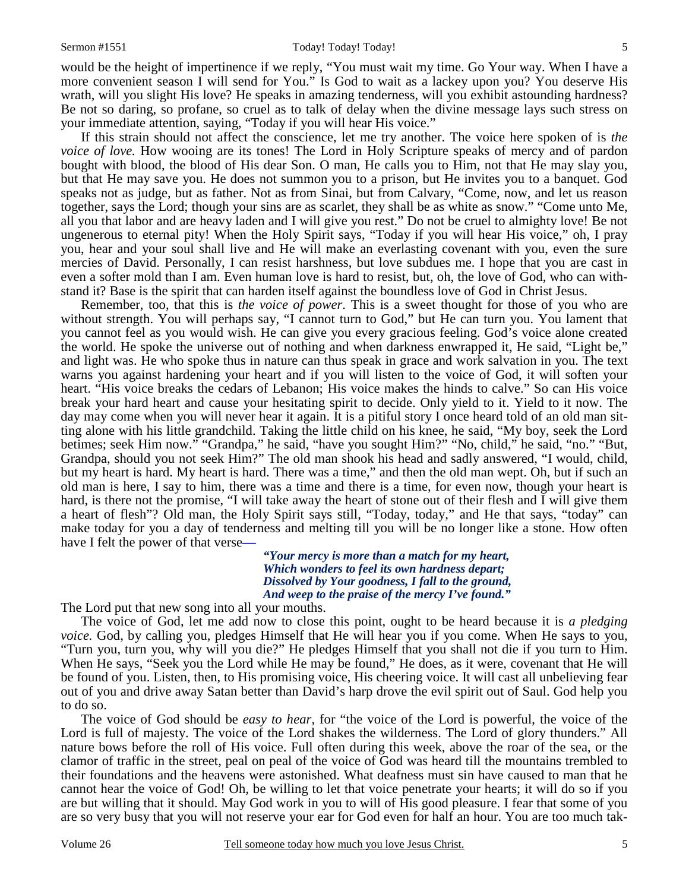would be the height of impertinence if we reply, "You must wait my time. Go Your way. When I have a more convenient season I will send for You." Is God to wait as a lackey upon you? You deserve His wrath, will you slight His love? He speaks in amazing tenderness, will you exhibit astounding hardness? Be not so daring, so profane, so cruel as to talk of delay when the divine message lays such stress on your immediate attention, saying, "Today if you will hear His voice."

 If this strain should not affect the conscience, let me try another. The voice here spoken of is *the voice of love.* How wooing are its tones! The Lord in Holy Scripture speaks of mercy and of pardon bought with blood, the blood of His dear Son. O man, He calls you to Him, not that He may slay you, but that He may save you. He does not summon you to a prison, but He invites you to a banquet. God speaks not as judge, but as father. Not as from Sinai, but from Calvary, "Come, now, and let us reason together, says the Lord; though your sins are as scarlet, they shall be as white as snow." "Come unto Me, all you that labor and are heavy laden and I will give you rest." Do not be cruel to almighty love! Be not ungenerous to eternal pity! When the Holy Spirit says, "Today if you will hear His voice," oh, I pray you, hear and your soul shall live and He will make an everlasting covenant with you, even the sure mercies of David. Personally, I can resist harshness, but love subdues me. I hope that you are cast in even a softer mold than I am. Even human love is hard to resist, but, oh, the love of God, who can withstand it? Base is the spirit that can harden itself against the boundless love of God in Christ Jesus.

 Remember, too, that this is *the voice of power*. This is a sweet thought for those of you who are without strength. You will perhaps say, "I cannot turn to God," but He can turn you. You lament that you cannot feel as you would wish. He can give you every gracious feeling. God's voice alone created the world. He spoke the universe out of nothing and when darkness enwrapped it, He said, "Light be," and light was. He who spoke thus in nature can thus speak in grace and work salvation in you. The text warns you against hardening your heart and if you will listen to the voice of God, it will soften your heart. "His voice breaks the cedars of Lebanon; His voice makes the hinds to calve." So can His voice break your hard heart and cause your hesitating spirit to decide. Only yield to it. Yield to it now. The day may come when you will never hear it again. It is a pitiful story I once heard told of an old man sitting alone with his little grandchild. Taking the little child on his knee, he said, "My boy, seek the Lord betimes; seek Him now." "Grandpa," he said, "have you sought Him?" "No, child," he said, "no." "But, Grandpa, should you not seek Him?" The old man shook his head and sadly answered, "I would, child, but my heart is hard. My heart is hard. There was a time," and then the old man wept. Oh, but if such an old man is here, I say to him, there was a time and there is a time, for even now, though your heart is hard, is there not the promise, "I will take away the heart of stone out of their flesh and I will give them a heart of flesh"? Old man, the Holy Spirit says still, "Today, today," and He that says, "today" can make today for you a day of tenderness and melting till you will be no longer like a stone. How often have I felt the power of that verse**—**

> *"Your mercy is more than a match for my heart, Which wonders to feel its own hardness depart; Dissolved by Your goodness, I fall to the ground, And weep to the praise of the mercy I've found."*

The Lord put that new song into all your mouths.

 The voice of God, let me add now to close this point, ought to be heard because it is *a pledging voice.* God, by calling you, pledges Himself that He will hear you if you come. When He says to you, "Turn you, turn you, why will you die?" He pledges Himself that you shall not die if you turn to Him. When He says, "Seek you the Lord while He may be found," He does, as it were, covenant that He will be found of you. Listen, then, to His promising voice, His cheering voice. It will cast all unbelieving fear out of you and drive away Satan better than David's harp drove the evil spirit out of Saul. God help you to do so.

 The voice of God should be *easy to hear,* for "the voice of the Lord is powerful, the voice of the Lord is full of majesty. The voice of the Lord shakes the wilderness. The Lord of glory thunders." All nature bows before the roll of His voice. Full often during this week, above the roar of the sea, or the clamor of traffic in the street, peal on peal of the voice of God was heard till the mountains trembled to their foundations and the heavens were astonished. What deafness must sin have caused to man that he cannot hear the voice of God! Oh, be willing to let that voice penetrate your hearts; it will do so if you are but willing that it should. May God work in you to will of His good pleasure. I fear that some of you are so very busy that you will not reserve your ear for God even for half an hour. You are too much tak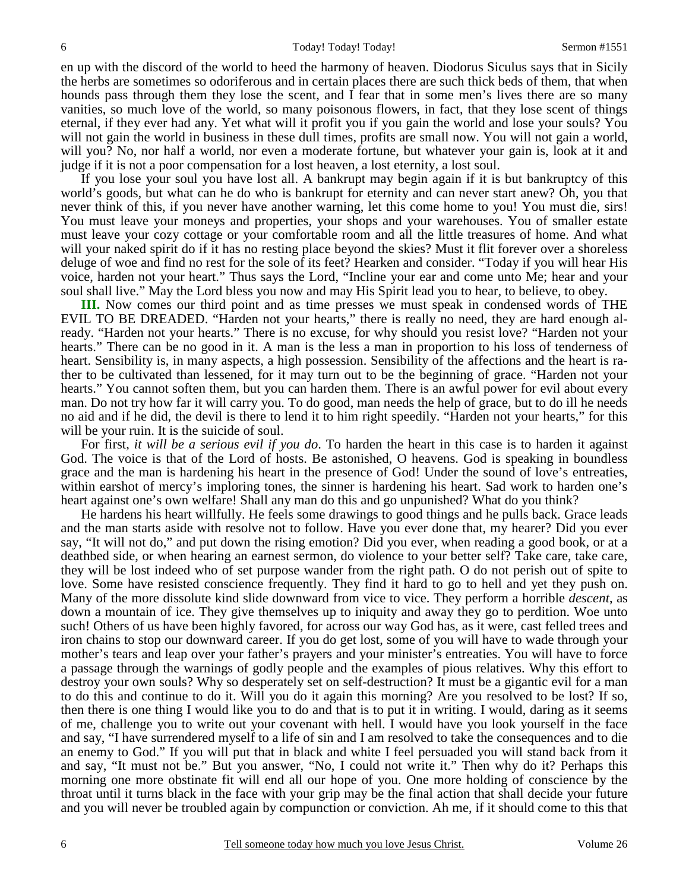en up with the discord of the world to heed the harmony of heaven. Diodorus Siculus says that in Sicily the herbs are sometimes so odoriferous and in certain places there are such thick beds of them, that when hounds pass through them they lose the scent, and I fear that in some men's lives there are so many vanities, so much love of the world, so many poisonous flowers, in fact, that they lose scent of things eternal, if they ever had any. Yet what will it profit you if you gain the world and lose your souls? You will not gain the world in business in these dull times, profits are small now. You will not gain a world, will you? No, nor half a world, nor even a moderate fortune, but whatever your gain is, look at it and judge if it is not a poor compensation for a lost heaven, a lost eternity, a lost soul.

 If you lose your soul you have lost all. A bankrupt may begin again if it is but bankruptcy of this world's goods, but what can he do who is bankrupt for eternity and can never start anew? Oh, you that never think of this, if you never have another warning, let this come home to you! You must die, sirs! You must leave your moneys and properties, your shops and your warehouses. You of smaller estate must leave your cozy cottage or your comfortable room and all the little treasures of home. And what will your naked spirit do if it has no resting place beyond the skies? Must it flit forever over a shoreless deluge of woe and find no rest for the sole of its feet? Hearken and consider. "Today if you will hear His voice, harden not your heart." Thus says the Lord, "Incline your ear and come unto Me; hear and your soul shall live." May the Lord bless you now and may His Spirit lead you to hear, to believe, to obey.

**III.** Now comes our third point and as time presses we must speak in condensed words of THE EVIL TO BE DREADED. "Harden not your hearts," there is really no need, they are hard enough already. "Harden not your hearts." There is no excuse, for why should you resist love? "Harden not your hearts." There can be no good in it. A man is the less a man in proportion to his loss of tenderness of heart. Sensibility is, in many aspects, a high possession. Sensibility of the affections and the heart is rather to be cultivated than lessened, for it may turn out to be the beginning of grace. "Harden not your hearts." You cannot soften them, but you can harden them. There is an awful power for evil about every man. Do not try how far it will carry you. To do good, man needs the help of grace, but to do ill he needs no aid and if he did, the devil is there to lend it to him right speedily. "Harden not your hearts," for this will be your ruin. It is the suicide of soul.

 For first, *it will be a serious evil if you do*. To harden the heart in this case is to harden it against God. The voice is that of the Lord of hosts. Be astonished, O heavens. God is speaking in boundless grace and the man is hardening his heart in the presence of God! Under the sound of love's entreaties, within earshot of mercy's imploring tones, the sinner is hardening his heart. Sad work to harden one's heart against one's own welfare! Shall any man do this and go unpunished? What do you think?

 He hardens his heart willfully. He feels some drawings to good things and he pulls back. Grace leads and the man starts aside with resolve not to follow. Have you ever done that, my hearer? Did you ever say, "It will not do," and put down the rising emotion? Did you ever, when reading a good book, or at a deathbed side, or when hearing an earnest sermon, do violence to your better self? Take care, take care, they will be lost indeed who of set purpose wander from the right path. O do not perish out of spite to love. Some have resisted conscience frequently. They find it hard to go to hell and yet they push on. Many of the more dissolute kind slide downward from vice to vice. They perform a horrible *descent*, as down a mountain of ice. They give themselves up to iniquity and away they go to perdition. Woe unto such! Others of us have been highly favored, for across our way God has, as it were, cast felled trees and iron chains to stop our downward career. If you do get lost, some of you will have to wade through your mother's tears and leap over your father's prayers and your minister's entreaties. You will have to force a passage through the warnings of godly people and the examples of pious relatives. Why this effort to destroy your own souls? Why so desperately set on self-destruction? It must be a gigantic evil for a man to do this and continue to do it. Will you do it again this morning? Are you resolved to be lost? If so, then there is one thing I would like you to do and that is to put it in writing. I would, daring as it seems of me, challenge you to write out your covenant with hell. I would have you look yourself in the face and say, "I have surrendered myself to a life of sin and I am resolved to take the consequences and to die an enemy to God." If you will put that in black and white I feel persuaded you will stand back from it and say, "It must not be." But you answer, "No, I could not write it." Then why do it? Perhaps this morning one more obstinate fit will end all our hope of you. One more holding of conscience by the throat until it turns black in the face with your grip may be the final action that shall decide your future and you will never be troubled again by compunction or conviction. Ah me, if it should come to this that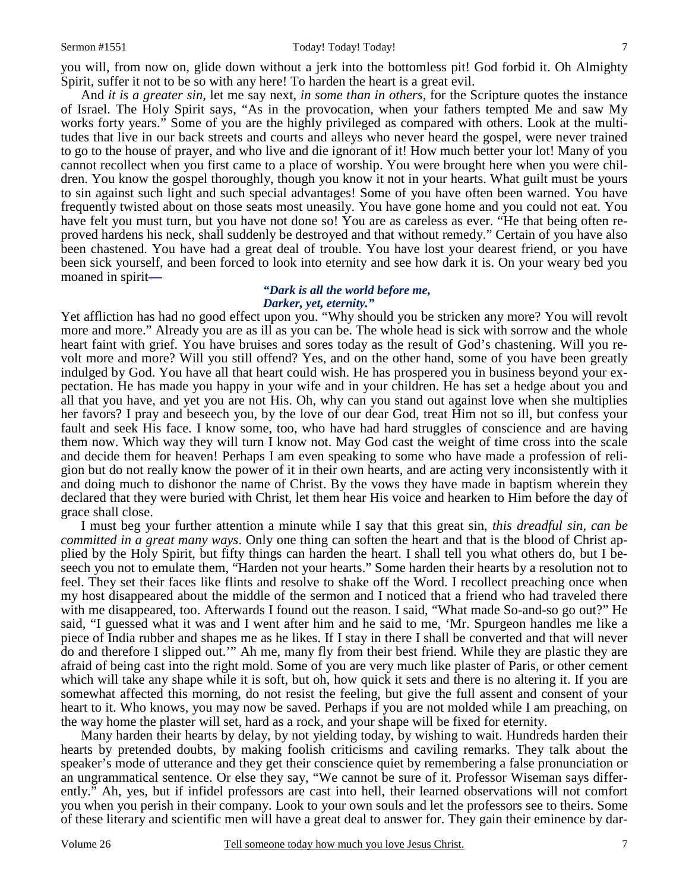#### Sermon #1551 Today! Today! Today! Today! Today! 7

you will, from now on, glide down without a jerk into the bottomless pit! God forbid it. Oh Almighty Spirit, suffer it not to be so with any here! To harden the heart is a great evil.

 And *it is a greater sin,* let me say next, *in some than in others,* for the Scripture quotes the instance of Israel. The Holy Spirit says, "As in the provocation, when your fathers tempted Me and saw My works forty years." Some of you are the highly privileged as compared with others. Look at the multitudes that live in our back streets and courts and alleys who never heard the gospel, were never trained to go to the house of prayer, and who live and die ignorant of it! How much better your lot! Many of you cannot recollect when you first came to a place of worship. You were brought here when you were children. You know the gospel thoroughly, though you know it not in your hearts. What guilt must be yours to sin against such light and such special advantages! Some of you have often been warned. You have frequently twisted about on those seats most uneasily. You have gone home and you could not eat. You have felt you must turn, but you have not done so! You are as careless as ever. "He that being often reproved hardens his neck, shall suddenly be destroyed and that without remedy." Certain of you have also been chastened. You have had a great deal of trouble. You have lost your dearest friend, or you have been sick yourself, and been forced to look into eternity and see how dark it is. On your weary bed you moaned in spirit**—**

### *"Dark is all the world before me, Darker, yet, eternity."*

Yet affliction has had no good effect upon you. "Why should you be stricken any more? You will revolt more and more." Already you are as ill as you can be. The whole head is sick with sorrow and the whole heart faint with grief. You have bruises and sores today as the result of God's chastening. Will you revolt more and more? Will you still offend? Yes, and on the other hand, some of you have been greatly indulged by God. You have all that heart could wish. He has prospered you in business beyond your expectation. He has made you happy in your wife and in your children. He has set a hedge about you and all that you have, and yet you are not His. Oh, why can you stand out against love when she multiplies her favors? I pray and beseech you, by the love of our dear God, treat Him not so ill, but confess your fault and seek His face. I know some, too, who have had hard struggles of conscience and are having them now. Which way they will turn I know not. May God cast the weight of time cross into the scale and decide them for heaven! Perhaps I am even speaking to some who have made a profession of religion but do not really know the power of it in their own hearts, and are acting very inconsistently with it and doing much to dishonor the name of Christ. By the vows they have made in baptism wherein they declared that they were buried with Christ, let them hear His voice and hearken to Him before the day of grace shall close.

 I must beg your further attention a minute while I say that this great sin, *this dreadful sin, can be committed in a great many ways*. Only one thing can soften the heart and that is the blood of Christ applied by the Holy Spirit, but fifty things can harden the heart. I shall tell you what others do, but I beseech you not to emulate them, "Harden not your hearts." Some harden their hearts by a resolution not to feel. They set their faces like flints and resolve to shake off the Word. I recollect preaching once when my host disappeared about the middle of the sermon and I noticed that a friend who had traveled there with me disappeared, too. Afterwards I found out the reason. I said, "What made So-and-so go out?" He said, "I guessed what it was and I went after him and he said to me, 'Mr. Spurgeon handles me like a piece of India rubber and shapes me as he likes. If I stay in there I shall be converted and that will never do and therefore I slipped out.'" Ah me, many fly from their best friend. While they are plastic they are afraid of being cast into the right mold. Some of you are very much like plaster of Paris, or other cement which will take any shape while it is soft, but oh, how quick it sets and there is no altering it. If you are somewhat affected this morning, do not resist the feeling, but give the full assent and consent of your heart to it. Who knows, you may now be saved. Perhaps if you are not molded while I am preaching, on the way home the plaster will set, hard as a rock, and your shape will be fixed for eternity.

 Many harden their hearts by delay, by not yielding today, by wishing to wait. Hundreds harden their hearts by pretended doubts, by making foolish criticisms and caviling remarks. They talk about the speaker's mode of utterance and they get their conscience quiet by remembering a false pronunciation or an ungrammatical sentence. Or else they say, "We cannot be sure of it. Professor Wiseman says differently." Ah, yes, but if infidel professors are cast into hell, their learned observations will not comfort you when you perish in their company. Look to your own souls and let the professors see to theirs. Some of these literary and scientific men will have a great deal to answer for. They gain their eminence by dar